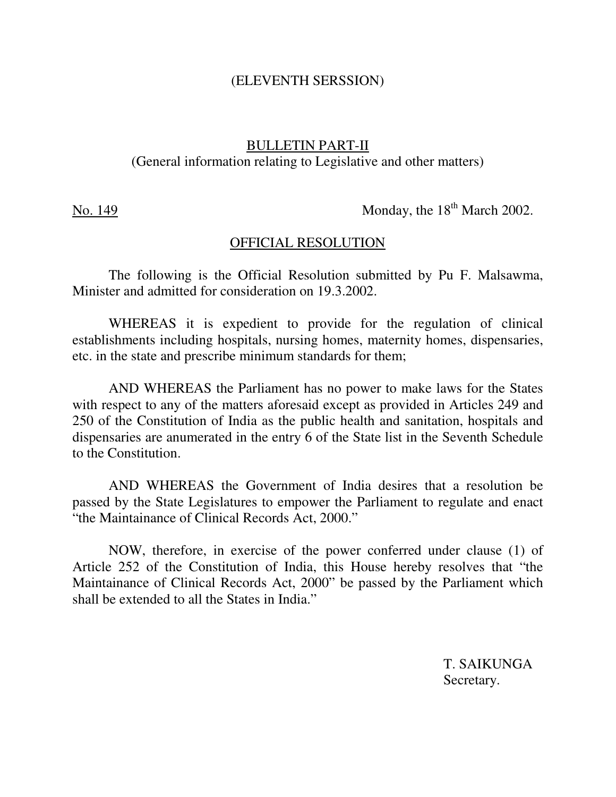#### (ELEVENTH SERSSION)

### BULLETIN PART-II (General information relating to Legislative and other matters)

No. 149 Monday, the  $18<sup>th</sup>$  March 2002.

#### OFFICIAL RESOLUTION

 The following is the Official Resolution submitted by Pu F. Malsawma, Minister and admitted for consideration on 19.3.2002.

 WHEREAS it is expedient to provide for the regulation of clinical establishments including hospitals, nursing homes, maternity homes, dispensaries, etc. in the state and prescribe minimum standards for them;

 AND WHEREAS the Parliament has no power to make laws for the States with respect to any of the matters aforesaid except as provided in Articles 249 and 250 of the Constitution of India as the public health and sanitation, hospitals and dispensaries are anumerated in the entry 6 of the State list in the Seventh Schedule to the Constitution.

 AND WHEREAS the Government of India desires that a resolution be passed by the State Legislatures to empower the Parliament to regulate and enact "the Maintainance of Clinical Records Act, 2000."

 NOW, therefore, in exercise of the power conferred under clause (1) of Article 252 of the Constitution of India, this House hereby resolves that "the Maintainance of Clinical Records Act, 2000" be passed by the Parliament which shall be extended to all the States in India."

> T. SAIKUNGA Secretary.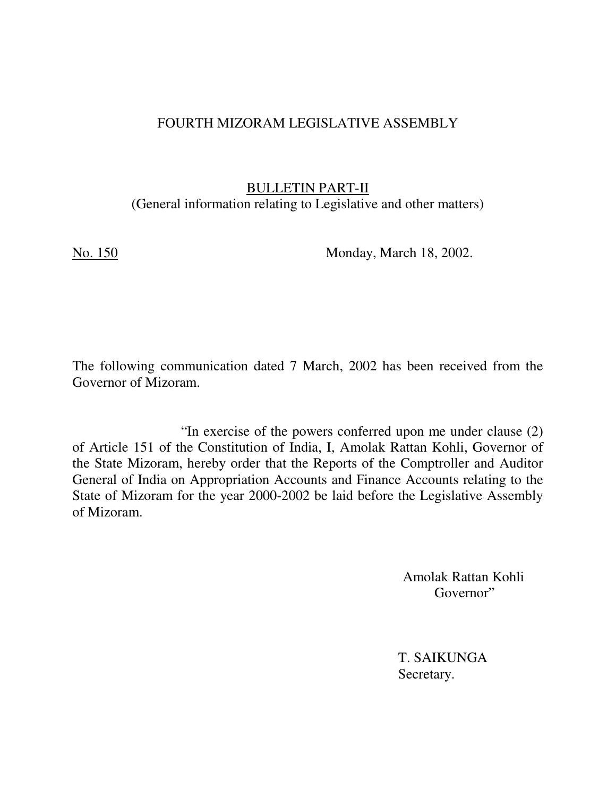#### FOURTH MIZORAM LEGISLATIVE ASSEMBLY

### BULLETIN PART-II (General information relating to Legislative and other matters)

No. 150 Monday, March 18, 2002.

The following communication dated 7 March, 2002 has been received from the Governor of Mizoram.

 "In exercise of the powers conferred upon me under clause (2) of Article 151 of the Constitution of India, I, Amolak Rattan Kohli, Governor of the State Mizoram, hereby order that the Reports of the Comptroller and Auditor General of India on Appropriation Accounts and Finance Accounts relating to the State of Mizoram for the year 2000-2002 be laid before the Legislative Assembly of Mizoram.

> Amolak Rattan Kohli Governor"

T. SAIKUNGA Secretary.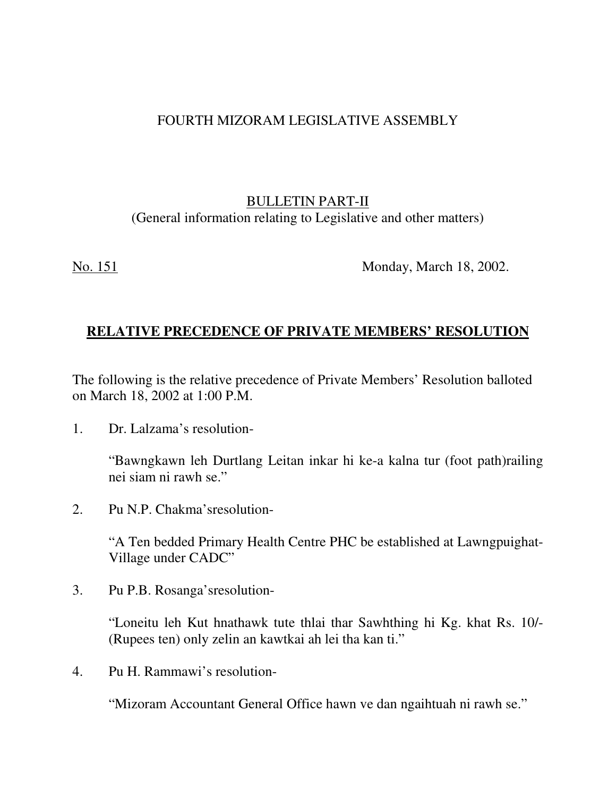# FOURTH MIZORAM LEGISLATIVE ASSEMBLY

# BULLETIN PART-II (General information relating to Legislative and other matters)

No. 151 Monday, March 18, 2002.

## **RELATIVE PRECEDENCE OF PRIVATE MEMBERS' RESOLUTION**

The following is the relative precedence of Private Members' Resolution balloted on March 18, 2002 at 1:00 P.M.

1. Dr. Lalzama's resolution-

 "Bawngkawn leh Durtlang Leitan inkar hi ke-a kalna tur (foot path)railing nei siam ni rawh se."

2. Pu N.P. Chakma'sresolution-

 "A Ten bedded Primary Health Centre PHC be established at Lawngpuighat- Village under CADC"

3. Pu P.B. Rosanga'sresolution-

 "Loneitu leh Kut hnathawk tute thlai thar Sawhthing hi Kg. khat Rs. 10/- (Rupees ten) only zelin an kawtkai ah lei tha kan ti."

4. Pu H. Rammawi's resolution-

"Mizoram Accountant General Office hawn ve dan ngaihtuah ni rawh se."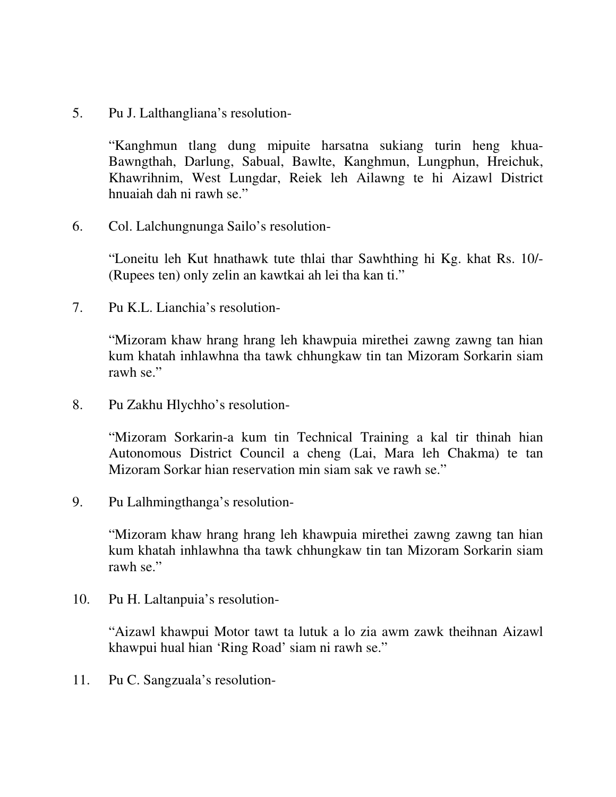5. Pu J. Lalthangliana's resolution-

"Kanghmun tlang dung mipuite harsatna sukiang turin heng khua- Bawngthah, Darlung, Sabual, Bawlte, Kanghmun, Lungphun, Hreichuk, Khawrihnim, West Lungdar, Reiek leh Ailawng te hi Aizawl District hnuaiah dah ni rawh se."

6. Col. Lalchungnunga Sailo's resolution-

 "Loneitu leh Kut hnathawk tute thlai thar Sawhthing hi Kg. khat Rs. 10/- (Rupees ten) only zelin an kawtkai ah lei tha kan ti."

7. Pu K.L. Lianchia's resolution-

 "Mizoram khaw hrang hrang leh khawpuia mirethei zawng zawng tan hian kum khatah inhlawhna tha tawk chhungkaw tin tan Mizoram Sorkarin siam rawh se."

8. Pu Zakhu Hlychho's resolution-

 "Mizoram Sorkarin-a kum tin Technical Training a kal tir thinah hian Autonomous District Council a cheng (Lai, Mara leh Chakma) te tan Mizoram Sorkar hian reservation min siam sak ve rawh se."

9. Pu Lalhmingthanga's resolution-

 "Mizoram khaw hrang hrang leh khawpuia mirethei zawng zawng tan hian kum khatah inhlawhna tha tawk chhungkaw tin tan Mizoram Sorkarin siam rawh se."

10. Pu H. Laltanpuia's resolution-

 "Aizawl khawpui Motor tawt ta lutuk a lo zia awm zawk theihnan Aizawl khawpui hual hian 'Ring Road' siam ni rawh se."

11. Pu C. Sangzuala's resolution-